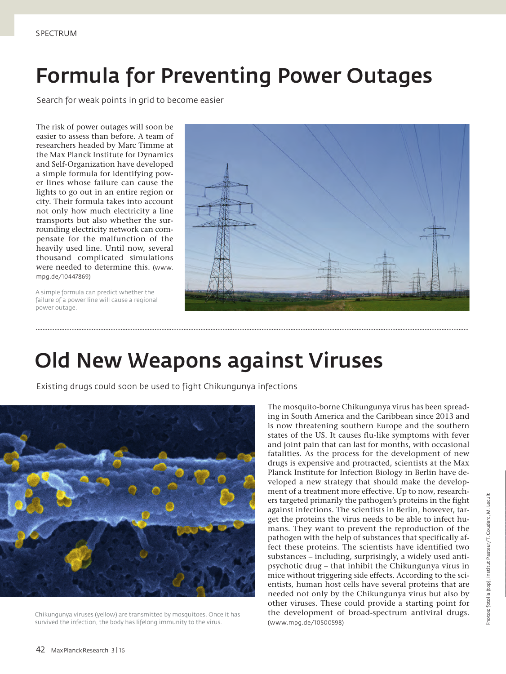# Formula for Preventing Power Outages

Search for weak points in grid to become easier

The risk of power outages will soon be easier to assess than before. A team of researchers headed by Marc Timme at the Max Planck Institute for Dynamics and Self-Organization have developed a simple formula for identifying power lines whose failure can cause the lights to go out in an entire region or city. Their formula takes into account not only how much electricity a line transports but also whether the surrounding electricity network can compensate for the malfunction of the heavily used line. Until now, several thousand complicated simulations were needed to determine this. (www. mpg.de/10447869)

A simple formula can predict whether the failure of a power line will cause a regional power outage.



## Old New Weapons against Viruses

Existing drugs could soon be used to fight Chikungunya infections



Chikungunya viruses (yellow) are transmitted by mosquitoes. Once it has survived the infection, the body has lifelong immunity to the virus.

The mosquito-borne Chikungunya virus has been spreading in South America and the Caribbean since 2013 and is now threatening southern Europe and the southern states of the US. It causes flu-like symptoms with fever and joint pain that can last for months, with occasional fatalities. As the process for the development of new drugs is expensive and protracted, scientists at the Max Planck Institute for Infection Biology in Berlin have developed a new strategy that should make the development of a treatment more effective. Up to now, researchers targeted primarily the pathogen's proteins in the fight against infections. The scientists in Berlin, however, target the proteins the virus needs to be able to infect humans. They want to prevent the reproduction of the pathogen with the help of substances that specifically affect these proteins. The scientists have identified two substances – including, surprisingly, a widely used antipsychotic drug – that inhibit the Chikungunya virus in mice without triggering side effects. According to the scientists, human host cells have several proteins that are needed not only by the Chikungunya virus but also by other viruses. These could provide a starting point for the development of broad-spectrum antiviral drugs. (www.mpg.de/10500598)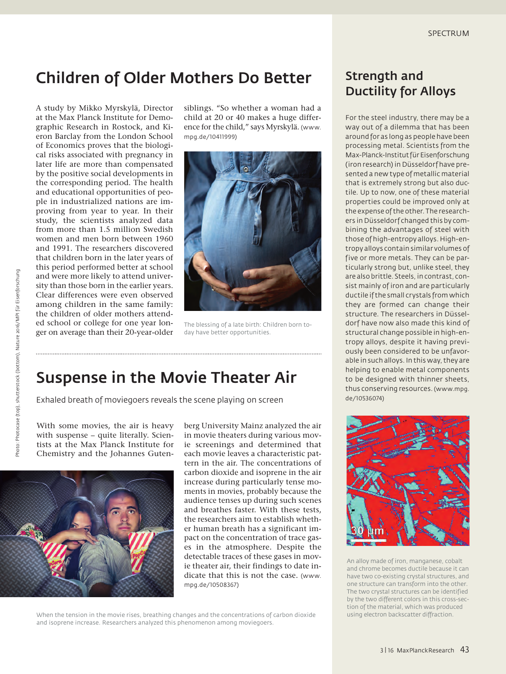#### Children of Older Mothers Do Better

A study by Mikko Myrskylä, Director at the Max Planck Institute for Demographic Research in Rostock, and Kieron Barclay from the London School of Economics proves that the biological risks associated with pregnancy in later life are more than compensated by the positive social developments in the corresponding period. The health and educational opportunities of people in industrialized nations are improving from year to year. In their study, the scientists analyzed data from more than 1.5 million Swedish women and men born between 1960 and 1991. The researchers discovered that children born in the later years of this period performed better at school and were more likely to attend university than those born in the earlier years. Clear differences were even observed among children in the same family: the children of older mothers attended school or college for one year longer on average than their 20-year-older

siblings. "So whether a woman had a child at 20 or 40 makes a huge difference for the child," says Myrskylä. (www. mpg.de/10411999)



The blessing of a late birth: Children born today have better opportunities.

### Suspense in the Movie Theater Air

Exhaled breath of moviegoers reveals the scene playing on screen

With some movies, the air is heavy with suspense – quite literally. Scientists at the Max Planck Institute for Chemistry and the Johannes Guten-



berg University Mainz analyzed the air in movie theaters during various movie screenings and determined that each movie leaves a characteristic pattern in the air. The concentrations of carbon dioxide and isoprene in the air increase during particularly tense moments in movies, probably because the audience tenses up during such scenes and breathes faster. With these tests, the researchers aim to establish whether human breath has a significant impact on the concentration of trace gases in the atmosphere. Despite the detectable traces of these gases in movie theater air, their findings to date indicate that this is not the case. (www. mpg.de/10508367)

When the tension in the movie rises, breathing changes and the concentrations of carbon dioxide and isoprene increase. Researchers analyzed this phenomenon among moviegoers.

#### Strength and Ductility for Alloys

For the steel industry, there may be a way out of a dilemma that has been around for as long as people have been processing metal. Scientists from the Max-Planck-Institut für Eisenforschung (iron research) in Düsseldorf have presented a new type of metallic material that is extremely strong but also ductile. Up to now, one of these material properties could be improved only at the expense of the other. The researchers in Düsseldorf changed this by combining the advantages of steel with those of high-entropy alloys. High-entropy alloys contain similar volumes of five or more metals. They can be particularly strong but, unlike steel, they are also brittle. Steels, in contrast, consist mainly of iron and are particularly ductile if the small crystals from which they are formed can change their structure. The researchers in Düsseldorf have now also made this kind of structural change possible in high-entropy alloys, despite it having previously been considered to be unfavorable in such alloys. In this way, they are helping to enable metal components to be designed with thinner sheets, thus conserving resources. (www.mpg. de/10536074)



An alloy made of iron, manganese, cobalt and chrome becomes ductile because it can have two co-existing crystal structures, and one structure can transform into the other. The two crystal structures can be identified by the two different colors in this cross-section of the material, which was produced using electron backscatter diffraction.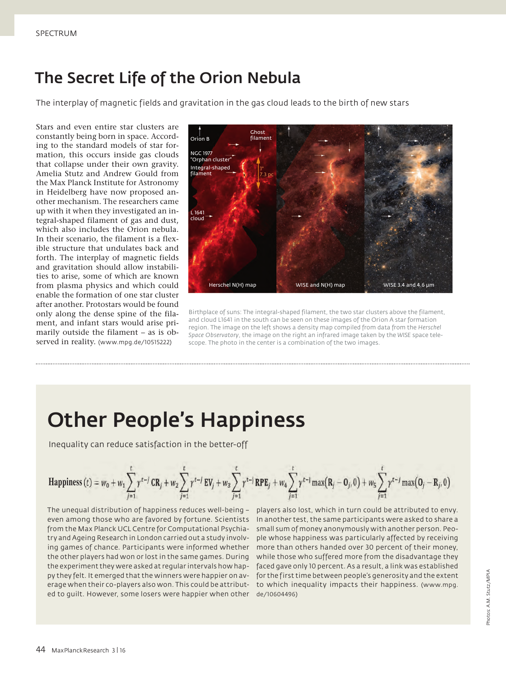### The Secret Life of the Orion Nebula

The interplay of magnetic fields and gravitation in the gas cloud leads to the birth of new stars

Stars and even entire star clusters are constantly being born in space. According to the standard models of star formation, this occurs inside gas clouds that collapse under their own gravity. Amelia Stutz and Andrew Gould from the Max Planck Institute for Astronomy in Heidelberg have now proposed another mechanism. The researchers came up with it when they investigated an integral-shaped filament of gas and dust, which also includes the Orion nebula. In their scenario, the filament is a flexible structure that undulates back and forth. The interplay of magnetic fields and gravitation should allow instabilities to arise, some of which are known from plasma physics and which could enable the formation of one star cluster after another. Protostars would be found only along the dense spine of the filament, and infant stars would arise primarily outside the filament – as is observed in reality. (www.mpg.de/10515222)



Birthplace of suns: The integral-shaped filament, the two star clusters above the filament, and cloud L1641 in the south can be seen on these images of the Orion A star formation region. The image on the left shows a density map compiled from data from the *Herschel Space Observatory*, the image on the right an infrared image taken by the *WISE* space telescope. The photo in the center is a combination of the two images.

## Other People's Happiness

Inequality can reduce satisfaction in the better-off

Happiness (t) = 
$$
w_0 + w_1 \sum_{j=1}^t \gamma^{t-j} CR_j + w_2 \sum_{j=1}^t \gamma^{t-j} EV_j + w_3 \sum_{j=1}^t \gamma^{t-j} RPE_j + w_4 \sum_{j=1}^t \gamma^{t-j} \max(R_j - O_j, 0) + w_5 \sum_{j=1}^t \gamma^{t-j} \max(O_j - R_j, 0))
$$

The unequal distribution of happiness reduces well-being – even among those who are favored by fortune. Scientists In another test, the same participants were asked to share a from the Max Planck UCL Centre for Computational Psychia-small sum of money anonymously with another person. Peotry and Ageing Research in London carried out a study involving games of chance. Participants were informed whether more than others handed over 30 percent of their money, the other players had won or lost in the same games. During while those who suffered more from the disadvantage they the experiment they were asked at regular intervals how hap-faced gave only 10 percent. As a result, a link was established py they felt. It emerged that the winners were happier on av- for the first time between people's generosity and the extent erage when their co-players also won. This could be attribut-to which inequality impacts their happiness. (www.mpg. ed to guilt. However, some losers were happier when other de/10604496)

players also lost, which in turn could be attributed to envy. ple whose happiness was particularly affected by receiving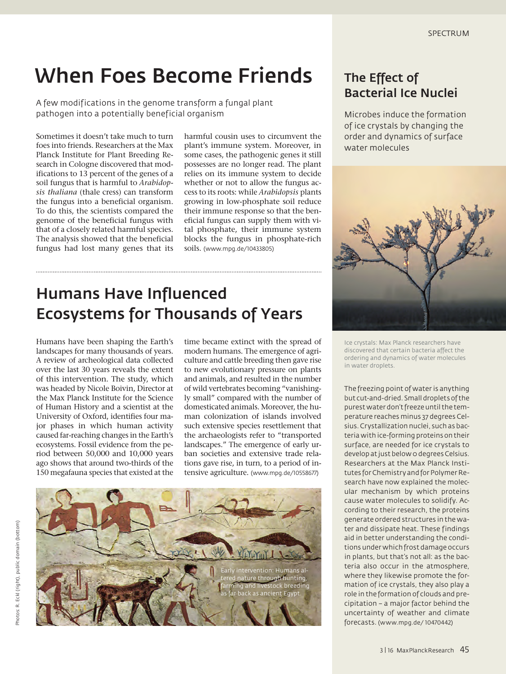## When Foes Become Friends

A few modifications in the genome transform a fungal plant pathogen into a potentially beneficial organism

Sometimes it doesn't take much to turn foes into friends. Researchers at the Max Planck Institute for Plant Breeding Research in Cologne discovered that modifications to 13 percent of the genes of a soil fungus that is harmful to *Arabidopsis thaliana* (thale cress) can transform the fungus into a beneficial organism. To do this, the scientists compared the genome of the beneficial fungus with that of a closely related harmful species. The analysis showed that the beneficial fungus had lost many genes that its

harmful cousin uses to circumvent the plant's immune system. Moreover, in some cases, the pathogenic genes it still possesses are no longer read. The plant relies on its immune system to decide whether or not to allow the fungus access to its roots: while *Arabidopsis* plants growing in low-phosphate soil reduce their immune response so that the beneficial fungus can supply them with vital phosphate, their immune system blocks the fungus in phosphate-rich soils. (www.mpg.de/10433805)

### Humans Have Influenced Ecosystems for Thousands of Years

Humans have been shaping the Earth's landscapes for many thousands of years. A review of archeological data collected over the last 30 years reveals the extent of this intervention. The study, which was headed by Nicole Boivin, Director at the Max Planck Institute for the Science of Human History and a scientist at the University of Oxford, identifies four major phases in which human activity caused far-reaching changes in the Earth's ecosystems. Fossil evidence from the period between 50,000 and 10,000 years ago shows that around two-thirds of the 150 megafauna species that existed at the

time became extinct with the spread of modern humans. The emergence of agriculture and cattle breeding then gave rise to new evolutionary pressure on plants and animals, and resulted in the number of wild vertebrates becoming "vanishingly small" compared with the number of domesticated animals. Moreover, the human colonization of islands involved such extensive species resettlement that the archaeologists refer to "transported landscapes." The emergence of early urban societies and extensive trade relations gave rise, in turn, to a period of intensive agriculture. (www.mpg.de/10558677)



#### The Effect of Bacterial Ice Nuclei

Microbes induce the formation of ice crystals by changing the order and dynamics of surface water molecules



Ice crystals: Max Planck researchers have discovered that certain bacteria affect the ordering and dynamics of water molecules in water droplets.

The freezing point of water is anything but cut-and-dried. Small droplets of the purest water don't freeze until the temperature reaches minus 37 degrees Celsius. Crystallization nuclei, such as bacteria with ice-forming proteins on their surface, are needed for ice crystals to develop at just below 0 degrees Celsius. Researchers at the Max Planck Institutes for Chemistry and for Polymer Research have now explained the molecular mechanism by which proteins cause water molecules to solidify. According to their research, the proteins generate ordered structures in the water and dissipate heat. These findings aid in better understanding the conditions under which frost damage occurs in plants, but that's not all: as the bacteria also occur in the atmosphere, where they likewise promote the formation of ice crystals, they also play a role in the formation of clouds and precipitation – a major factor behind the uncertainty of weather and climate forecasts. (www.mpg.de/ 10470442)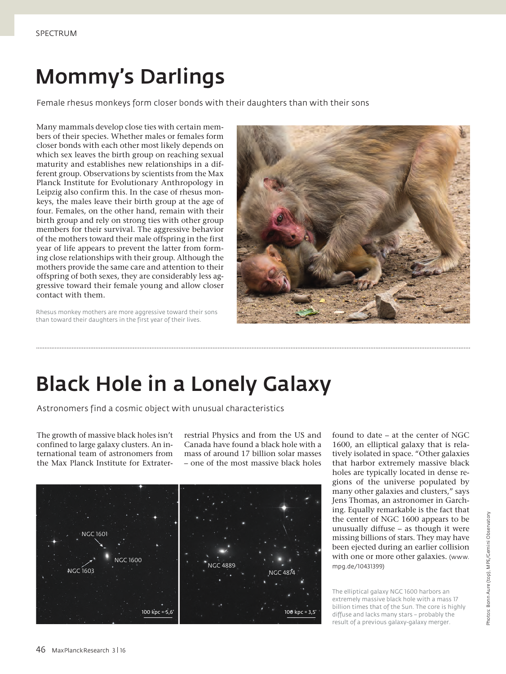# Mommy's Darlings

Female rhesus monkeys form closer bonds with their daughters than with their sons

Many mammals develop close ties with certain members of their species. Whether males or females form closer bonds with each other most likely depends on which sex leaves the birth group on reaching sexual maturity and establishes new relationships in a different group. Observations by scientists from the Max Planck Institute for Evolutionary Anthropology in Leipzig also confirm this. In the case of rhesus monkeys, the males leave their birth group at the age of four. Females, on the other hand, remain with their birth group and rely on strong ties with other group members for their survival. The aggressive behavior of the mothers toward their male offspring in the first year of life appears to prevent the latter from forming close relationships with their group. Although the mothers provide the same care and attention to their offspring of both sexes, they are considerably less aggressive toward their female young and allow closer contact with them.

Rhesus monkey mothers are more aggressive toward their sons than toward their daughters in the first year of their lives.



## Black Hole in a Lonely Galaxy

Astronomers find a cosmic object with unusual characteristics

The growth of massive black holes isn't confined to large galaxy clusters. An international team of astronomers from the Max Planck Institute for Extraterrestrial Physics and from the US and Canada have found a black hole with a mass of around 17 billion solar masses – one of the most massive black holes



found to date – at the center of NGC 1600, an elliptical galaxy that is relatively isolated in space. "Other galaxies that harbor extremely massive black holes are typically located in dense regions of the universe populated by many other galaxies and clusters," says Jens Thomas, an astronomer in Garching. Equally remarkable is the fact that the center of NGC 1600 appears to be unusually diffuse – as though it were missing billions of stars. They may have been ejected during an earlier collision with one or more other galaxies. (www. mpg.de/10431399)

The elliptical galaxy NGC 1600 harbors an extremely massive black hole with a mass 17 billion times that of the Sun. The core is highly diffuse and lacks many stars – probably the result of a previous galaxy-galaxy merger.